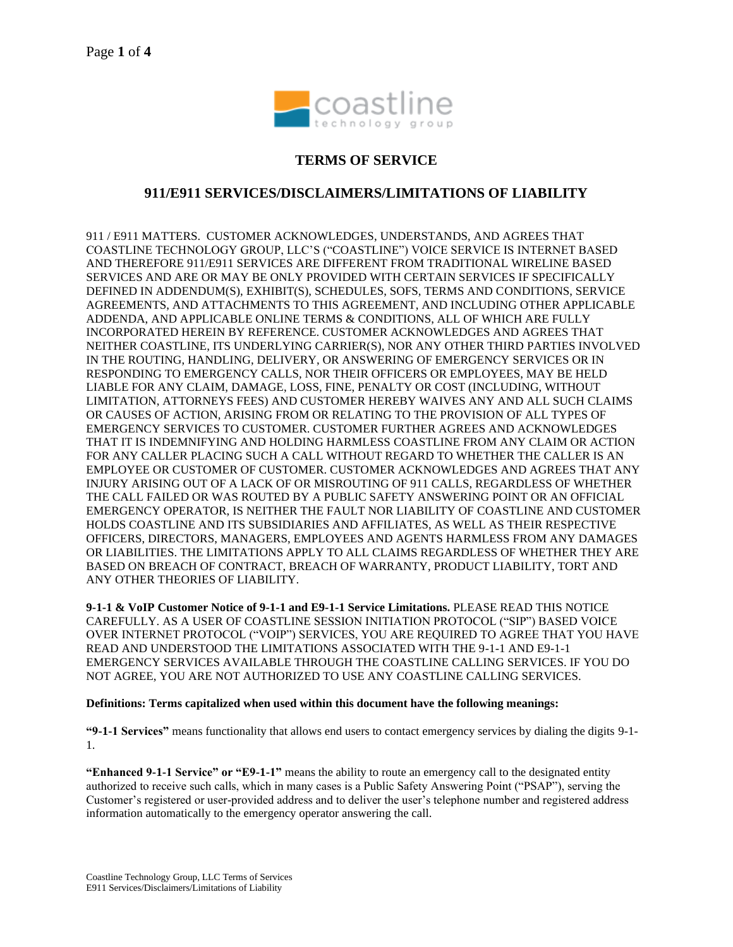

# **TERMS OF SERVICE**

## **911/E911 SERVICES/DISCLAIMERS/LIMITATIONS OF LIABILITY**

911 / E911 MATTERS. CUSTOMER ACKNOWLEDGES, UNDERSTANDS, AND AGREES THAT COASTLINE TECHNOLOGY GROUP, LLC'S ("COASTLINE") VOICE SERVICE IS INTERNET BASED AND THEREFORE 911/E911 SERVICES ARE DIFFERENT FROM TRADITIONAL WIRELINE BASED SERVICES AND ARE OR MAY BE ONLY PROVIDED WITH CERTAIN SERVICES IF SPECIFICALLY DEFINED IN ADDENDUM(S), EXHIBIT(S), SCHEDULES, SOFS, TERMS AND CONDITIONS, SERVICE AGREEMENTS, AND ATTACHMENTS TO THIS AGREEMENT, AND INCLUDING OTHER APPLICABLE ADDENDA, AND APPLICABLE ONLINE TERMS & CONDITIONS, ALL OF WHICH ARE FULLY INCORPORATED HEREIN BY REFERENCE. CUSTOMER ACKNOWLEDGES AND AGREES THAT NEITHER COASTLINE, ITS UNDERLYING CARRIER(S), NOR ANY OTHER THIRD PARTIES INVOLVED IN THE ROUTING, HANDLING, DELIVERY, OR ANSWERING OF EMERGENCY SERVICES OR IN RESPONDING TO EMERGENCY CALLS, NOR THEIR OFFICERS OR EMPLOYEES, MAY BE HELD LIABLE FOR ANY CLAIM, DAMAGE, LOSS, FINE, PENALTY OR COST (INCLUDING, WITHOUT LIMITATION, ATTORNEYS FEES) AND CUSTOMER HEREBY WAIVES ANY AND ALL SUCH CLAIMS OR CAUSES OF ACTION, ARISING FROM OR RELATING TO THE PROVISION OF ALL TYPES OF EMERGENCY SERVICES TO CUSTOMER. CUSTOMER FURTHER AGREES AND ACKNOWLEDGES THAT IT IS INDEMNIFYING AND HOLDING HARMLESS COASTLINE FROM ANY CLAIM OR ACTION FOR ANY CALLER PLACING SUCH A CALL WITHOUT REGARD TO WHETHER THE CALLER IS AN EMPLOYEE OR CUSTOMER OF CUSTOMER. CUSTOMER ACKNOWLEDGES AND AGREES THAT ANY INJURY ARISING OUT OF A LACK OF OR MISROUTING OF 911 CALLS, REGARDLESS OF WHETHER THE CALL FAILED OR WAS ROUTED BY A PUBLIC SAFETY ANSWERING POINT OR AN OFFICIAL EMERGENCY OPERATOR, IS NEITHER THE FAULT NOR LIABILITY OF COASTLINE AND CUSTOMER HOLDS COASTLINE AND ITS SUBSIDIARIES AND AFFILIATES, AS WELL AS THEIR RESPECTIVE OFFICERS, DIRECTORS, MANAGERS, EMPLOYEES AND AGENTS HARMLESS FROM ANY DAMAGES OR LIABILITIES. THE LIMITATIONS APPLY TO ALL CLAIMS REGARDLESS OF WHETHER THEY ARE BASED ON BREACH OF CONTRACT, BREACH OF WARRANTY, PRODUCT LIABILITY, TORT AND ANY OTHER THEORIES OF LIABILITY.

**9-1-1 & VoIP Customer Notice of 9-1-1 and E9-1-1 Service Limitations.** PLEASE READ THIS NOTICE CAREFULLY. AS A USER OF COASTLINE SESSION INITIATION PROTOCOL ("SIP") BASED VOICE OVER INTERNET PROTOCOL ("VOIP") SERVICES, YOU ARE REQUIRED TO AGREE THAT YOU HAVE READ AND UNDERSTOOD THE LIMITATIONS ASSOCIATED WITH THE 9-1-1 AND E9-1-1 EMERGENCY SERVICES AVAILABLE THROUGH THE COASTLINE CALLING SERVICES. IF YOU DO NOT AGREE, YOU ARE NOT AUTHORIZED TO USE ANY COASTLINE CALLING SERVICES.

#### **Definitions: Terms capitalized when used within this document have the following meanings:**

**"9-1-1 Services"** means functionality that allows end users to contact emergency services by dialing the digits 9-1- 1.

**"Enhanced 9-1-1 Service" or "E9-1-1"** means the ability to route an emergency call to the designated entity authorized to receive such calls, which in many cases is a Public Safety Answering Point ("PSAP"), serving the Customer's registered or user-provided address and to deliver the user's telephone number and registered address information automatically to the emergency operator answering the call.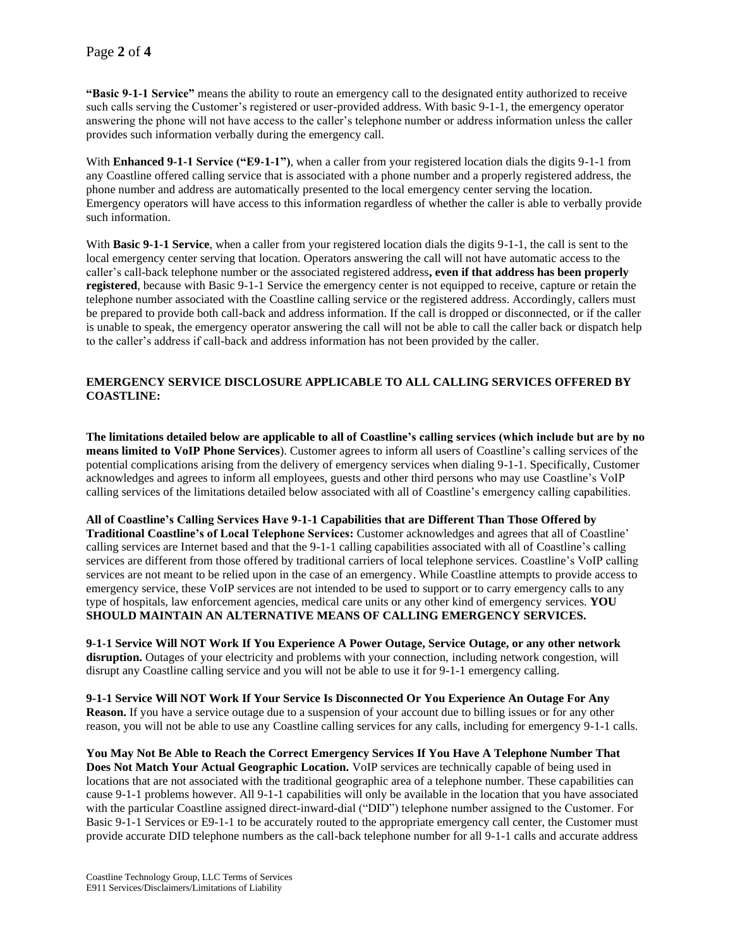**"Basic 9-1-1 Service"** means the ability to route an emergency call to the designated entity authorized to receive such calls serving the Customer's registered or user-provided address. With basic 9-1-1, the emergency operator answering the phone will not have access to the caller's telephone number or address information unless the caller provides such information verbally during the emergency call.

With **Enhanced 9-1-1 Service ("E9-1-1")**, when a caller from your registered location dials the digits 9-1-1 from any Coastline offered calling service that is associated with a phone number and a properly registered address, the phone number and address are automatically presented to the local emergency center serving the location. Emergency operators will have access to this information regardless of whether the caller is able to verbally provide such information.

With **Basic 9-1-1 Service**, when a caller from your registered location dials the digits 9-1-1, the call is sent to the local emergency center serving that location. Operators answering the call will not have automatic access to the caller's call-back telephone number or the associated registered address**, even if that address has been properly registered**, because with Basic 9-1-1 Service the emergency center is not equipped to receive, capture or retain the telephone number associated with the Coastline calling service or the registered address. Accordingly, callers must be prepared to provide both call-back and address information. If the call is dropped or disconnected, or if the caller is unable to speak, the emergency operator answering the call will not be able to call the caller back or dispatch help to the caller's address if call-back and address information has not been provided by the caller.

## **EMERGENCY SERVICE DISCLOSURE APPLICABLE TO ALL CALLING SERVICES OFFERED BY COASTLINE:**

**The limitations detailed below are applicable to all of Coastline's calling services (which include but are by no means limited to VoIP Phone Services**). Customer agrees to inform all users of Coastline's calling services of the potential complications arising from the delivery of emergency services when dialing 9-1-1. Specifically, Customer acknowledges and agrees to inform all employees, guests and other third persons who may use Coastline's VoIP calling services of the limitations detailed below associated with all of Coastline's emergency calling capabilities.

**All of Coastline's Calling Services Have 9-1-1 Capabilities that are Different Than Those Offered by Traditional Coastline's of Local Telephone Services:** Customer acknowledges and agrees that all of Coastline' calling services are Internet based and that the 9-1-1 calling capabilities associated with all of Coastline's calling services are different from those offered by traditional carriers of local telephone services. Coastline's VoIP calling services are not meant to be relied upon in the case of an emergency. While Coastline attempts to provide access to emergency service, these VoIP services are not intended to be used to support or to carry emergency calls to any type of hospitals, law enforcement agencies, medical care units or any other kind of emergency services. **YOU SHOULD MAINTAIN AN ALTERNATIVE MEANS OF CALLING EMERGENCY SERVICES.**

**9-1-1 Service Will NOT Work If You Experience A Power Outage, Service Outage, or any other network disruption.** Outages of your electricity and problems with your connection, including network congestion, will disrupt any Coastline calling service and you will not be able to use it for 9-1-1 emergency calling.

**9-1-1 Service Will NOT Work If Your Service Is Disconnected Or You Experience An Outage For Any Reason.** If you have a service outage due to a suspension of your account due to billing issues or for any other reason, you will not be able to use any Coastline calling services for any calls, including for emergency 9-1-1 calls.

**You May Not Be Able to Reach the Correct Emergency Services If You Have A Telephone Number That Does Not Match Your Actual Geographic Location.** VoIP services are technically capable of being used in locations that are not associated with the traditional geographic area of a telephone number. These capabilities can cause 9-1-1 problems however. All 9-1-1 capabilities will only be available in the location that you have associated with the particular Coastline assigned direct-inward-dial ("DID") telephone number assigned to the Customer. For Basic 9-1-1 Services or E9-1-1 to be accurately routed to the appropriate emergency call center, the Customer must provide accurate DID telephone numbers as the call-back telephone number for all 9-1-1 calls and accurate address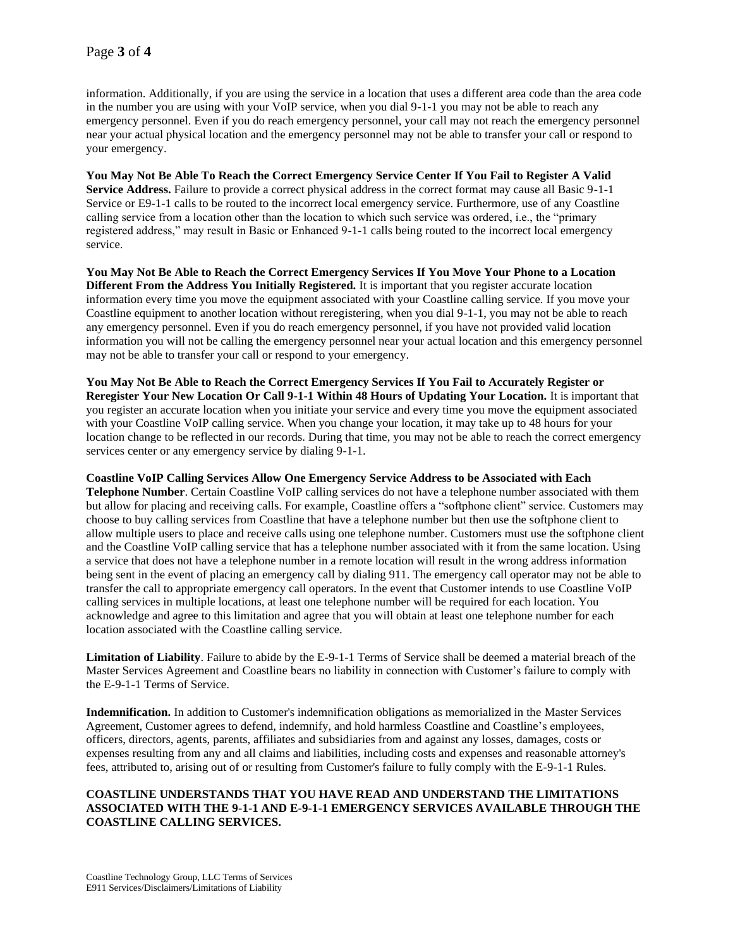information. Additionally, if you are using the service in a location that uses a different area code than the area code in the number you are using with your VoIP service, when you dial 9-1-1 you may not be able to reach any emergency personnel. Even if you do reach emergency personnel, your call may not reach the emergency personnel near your actual physical location and the emergency personnel may not be able to transfer your call or respond to your emergency.

**You May Not Be Able To Reach the Correct Emergency Service Center If You Fail to Register A Valid Service Address.** Failure to provide a correct physical address in the correct format may cause all Basic 9-1-1 Service or E9-1-1 calls to be routed to the incorrect local emergency service. Furthermore, use of any Coastline calling service from a location other than the location to which such service was ordered, i.e., the "primary registered address," may result in Basic or Enhanced 9-1-1 calls being routed to the incorrect local emergency service.

**You May Not Be Able to Reach the Correct Emergency Services If You Move Your Phone to a Location Different From the Address You Initially Registered.** It is important that you register accurate location information every time you move the equipment associated with your Coastline calling service. If you move your Coastline equipment to another location without reregistering, when you dial 9-1-1, you may not be able to reach any emergency personnel. Even if you do reach emergency personnel, if you have not provided valid location information you will not be calling the emergency personnel near your actual location and this emergency personnel may not be able to transfer your call or respond to your emergency.

**You May Not Be Able to Reach the Correct Emergency Services If You Fail to Accurately Register or Reregister Your New Location Or Call 9-1-1 Within 48 Hours of Updating Your Location.** It is important that you register an accurate location when you initiate your service and every time you move the equipment associated with your Coastline VoIP calling service. When you change your location, it may take up to 48 hours for your location change to be reflected in our records. During that time, you may not be able to reach the correct emergency services center or any emergency service by dialing 9-1-1.

**Coastline VoIP Calling Services Allow One Emergency Service Address to be Associated with Each Telephone Number**. Certain Coastline VoIP calling services do not have a telephone number associated with them but allow for placing and receiving calls. For example, Coastline offers a "softphone client" service. Customers may choose to buy calling services from Coastline that have a telephone number but then use the softphone client to allow multiple users to place and receive calls using one telephone number. Customers must use the softphone client and the Coastline VoIP calling service that has a telephone number associated with it from the same location. Using a service that does not have a telephone number in a remote location will result in the wrong address information being sent in the event of placing an emergency call by dialing 911. The emergency call operator may not be able to transfer the call to appropriate emergency call operators. In the event that Customer intends to use Coastline VoIP calling services in multiple locations, at least one telephone number will be required for each location. You acknowledge and agree to this limitation and agree that you will obtain at least one telephone number for each location associated with the Coastline calling service.

**Limitation of Liability**. Failure to abide by the E-9-1-1 Terms of Service shall be deemed a material breach of the Master Services Agreement and Coastline bears no liability in connection with Customer's failure to comply with the E-9-1-1 Terms of Service.

**Indemnification.** In addition to Customer's indemnification obligations as memorialized in the Master Services Agreement, Customer agrees to defend, indemnify, and hold harmless Coastline and Coastline's employees, officers, directors, agents, parents, affiliates and subsidiaries from and against any losses, damages, costs or expenses resulting from any and all claims and liabilities, including costs and expenses and reasonable attorney's fees, attributed to, arising out of or resulting from Customer's failure to fully comply with the E-9-1-1 Rules.

### **COASTLINE UNDERSTANDS THAT YOU HAVE READ AND UNDERSTAND THE LIMITATIONS ASSOCIATED WITH THE 9-1-1 AND E-9-1-1 EMERGENCY SERVICES AVAILABLE THROUGH THE COASTLINE CALLING SERVICES.**